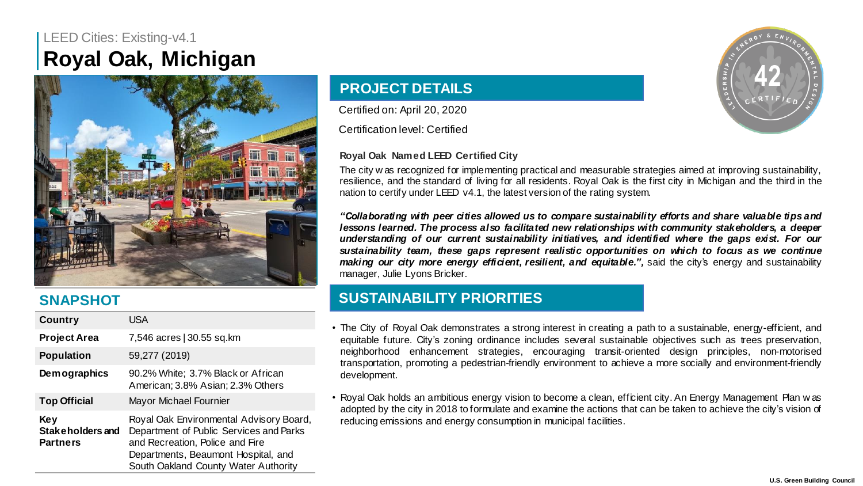# LEED Cities: Existing-v4.1 **Royal Oak, Michigan**



## **SNAPSHOT**

| Country                                    | USA                                                                                                                                                                                                  |  |
|--------------------------------------------|------------------------------------------------------------------------------------------------------------------------------------------------------------------------------------------------------|--|
| <b>Project Area</b>                        | 7,546 acres   30.55 sq.km                                                                                                                                                                            |  |
| <b>Population</b>                          | 59,277 (2019)                                                                                                                                                                                        |  |
| <b>Demographics</b>                        | 90.2% White: 3.7% Black or African<br>American: 3.8% Asian: 2.3% Others                                                                                                                              |  |
| <b>Top Official</b>                        | Mayor Michael Fournier                                                                                                                                                                               |  |
| Key<br>Stakeholders and<br><b>Partners</b> | Royal Oak Environmental Advisory Board,<br>Department of Public Services and Parks<br>and Recreation, Police and Fire<br>Departments, Beaumont Hospital, and<br>South Oakland County Water Authority |  |

## **PROJECT DETAILS**

Certified on: April 20, 2020

Certification level: Certified

### **Royal Oak Named LEED Certified City**



The city w as recognized for implementing practical and measurable strategies aimed at improving sustainability, resilience, and the standard of living for all residents. Royal Oak is the first city in Michigan and the third in the nation to certify under LEED v4.1, the latest version of the rating system.

*"Collaborating wi th peer ci ties allowed us to compare sustainabili ty efforts and share valuable tips and lessons learned. The process also facilitated new relationships wi th community stakeholders, a deeper understanding of our current sustainabili ty ini tiatives, and identi fied where the gaps exist. For our sustainability team, these gaps represent realistic opportunities on which to focus as we continue making our city more energy efficient, resilient, and equitable.",* said the city's energy and sustainability manager, Julie Lyons Bricker.

## **SUSTAINABILITY PRIORITIES**

- The City of Royal Oak demonstrates a strong interest in creating a path to a sustainable, energy-efficient, and equitable future. City's zoning ordinance includes several sustainable objectives such as trees preservation, neighborhood enhancement strategies, encouraging transit-oriented design principles, non-motorised transportation, promoting a pedestrian-friendly environment to achieve a more socially and environment-friendly development.
- Royal Oak holds an ambitious energy vision to become a clean, efficient city. An Energy Management Plan w as adopted by the city in 2018 to formulate and examine the actions that can be taken to achieve the city's vision of reducing emissions and energy consumption in municipal facilities.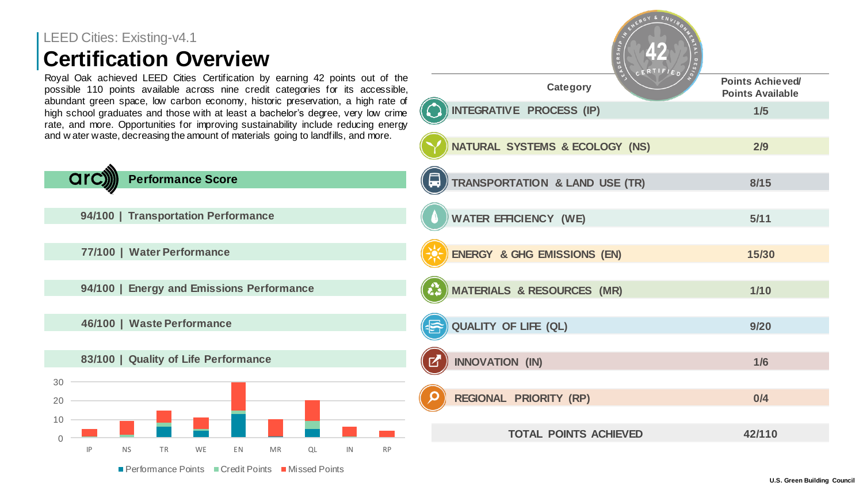# LEED Cities: Existing-v4.1 **Certification Overview**

arc

Royal Oak achieved LEED Cities Certification by earning possible 110 points available across nine credit categories for abundant green space, low carbon economy, historic high school graduates and those with at least a bache rate, and more. Opportunities for improving sustainab and w ater waste, decreasing the amount of materials go

| Cities: Existing-v4.1<br>tification Overview                                                                                                                                                                                          | 42                                             |                                                    |  |
|---------------------------------------------------------------------------------------------------------------------------------------------------------------------------------------------------------------------------------------|------------------------------------------------|----------------------------------------------------|--|
| Dak achieved LEED Cities Certification by earning 42 points out of the<br>110 points available across nine credit categories for its accessible,                                                                                      | Category                                       | <b>Points Achieved/</b><br><b>Points Available</b> |  |
| nt green space, low carbon economy, historic preservation, a high rate of<br>hool graduates and those with at least a bachelor's degree, very low crime<br>d more. Opportunities for improving sustainability include reducing energy | INTEGRATIVE PROCESS (IP)                       | 1/5                                                |  |
| ter waste, decreasing the amount of materials going to landfills, and more.                                                                                                                                                           | NATURAL SYSTEMS & ECOLOGY (NS)                 | 2/9                                                |  |
| <b>Performance Score</b>                                                                                                                                                                                                              | 口<br><b>TRANSPORTATION &amp; LAND USE (TR)</b> | 8/15                                               |  |
| 94/100   Transportation Performance                                                                                                                                                                                                   | <b>WATER EFFICIENCY (WE)</b>                   | 5/11                                               |  |
| 77/100   Water Performance                                                                                                                                                                                                            | ENERGY & GHG EMISSIONS (EN)                    | 15/30                                              |  |
| 94/100   Energy and Emissions Performance                                                                                                                                                                                             | <b>MATERIALS &amp; RESOURCES (MR)</b>          | $1/10$                                             |  |
| 46/100   Waste Performance                                                                                                                                                                                                            | QUALITY OF LIFE (QL)                           | 9/20                                               |  |
| 83/100   Quality of Life Performance                                                                                                                                                                                                  | <b>INNOVATION (IN)</b>                         | 1/6                                                |  |
|                                                                                                                                                                                                                                       | REGIONAL PRIORITY (RP)                         | 0/4                                                |  |
|                                                                                                                                                                                                                                       | <b>TOTAL POINTS ACHIEVED</b>                   | 42/110                                             |  |

■ Performance Points ■ Credit Points ■ Missed Points

IP NS TR WE EN MR QL IN RP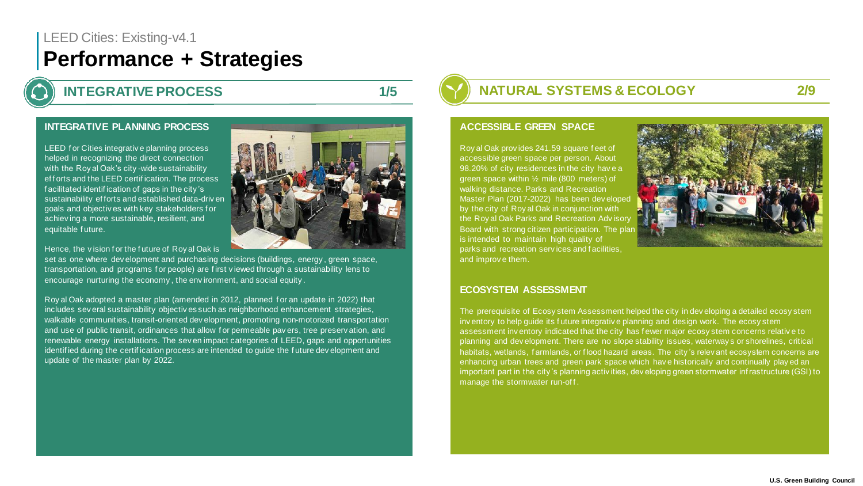### **INTEGRATIVE PLANNING PROCESS**

LEED for Cities integrative planning process helped in recognizing the direct connection with the Roy al Oak's city -wide sustainability ef f orts and the LEED certif ication. The process f acilitated identif ication of gaps in the city 's sustainability ef forts and established data-driv en goals and objectiv es with key stakeholders f or achiev ing a more sustainable, resilient, and equitable f uture.

Hence, the vision for the future of Roy al Oak is

set as one where dev elopment and purchasing decisions (buildings, energy , green space, transportation, and programs f or people) are f irst v iewed through a sustainability lens to encourage nurturing the economy , the env ironment, and social equity .

Roy al Oak adopted a master plan (amended in 2012, planned f or an update in 2022) that includes sev eral sustainability objectiv es such as neighborhood enhancement strategies, walkable communities, transit-oriented dev elopment, promoting non-motorized transportation and use of public transit, ordinances that allow for permeable payers, tree preservation, and renewable energy installations. The sev en impact categories of LEED, gaps and opportunities identif ied during the certif ication process are intended to guide the f uture dev elopment and update of the master plan by 2022.

**INTEGRATIVE PROCESS 1/5 1/5 NATURAL SYSTEMS & ECOLOGY** 2/9

#### **ACCESSIBLE GREEN SPACE**

Roy al Oak prov ides 241.59 square f eet of accessible green space per person. About 98.20% of city residences in the city have a green space within ½ mile (800 meters) of walking distance. Parks and Recreation Master Plan (2017-2022) has been dev eloped by the city of Roy al Oak in conjunction with the Roy al Oak Parks and Recreation Adv isory Board with strong citizen participation. The plan is intended to maintain high quality of parks and recreation serv ices and f acilities, and improv e them.

#### **ECOSYSTEM ASSESSMENT**

The prerequisite of Ecosy stem Assessment helped the city in dev eloping a detailed ecosy stem inv entory to help guide its f uture integrativ e planning and design work. The ecosy stem assessment inv entory indicated that the city has f ewer major ecosy stem concerns relativ e to planning and dev elopment. There are no slope stability issues, waterway s or shorelines, critical habitats, wetlands, farmlands, or flood hazard areas. The city's relev ant ecosystem concerns are enhancing urban trees and green park space which hav e historically and continually play ed an important part in the city 's planning activ ities, dev eloping green stormwater inf rastructure (GSI) to manage the stormwater run-off.

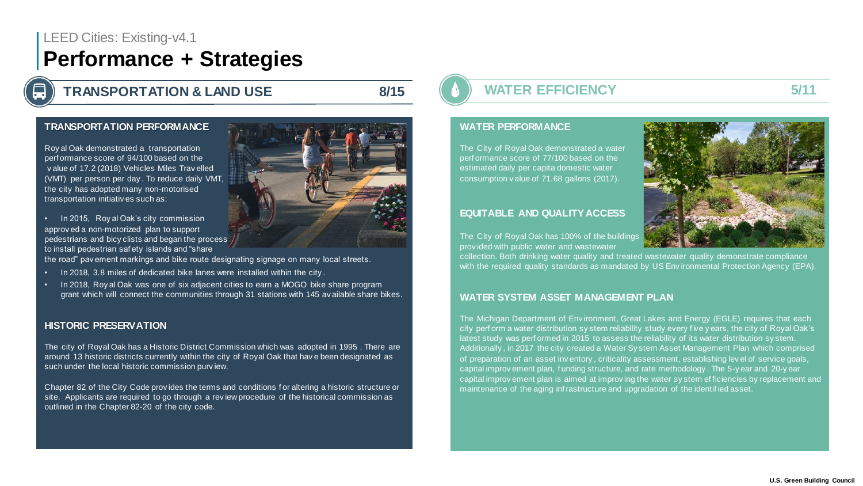**TRANSPORTATION & LAND USE 8/15 8/15 8/15 WATER EFFICIENCY 5/11** 

### **TRANSPORTATION PERFORMANCE**

Roy al Oak demonstrated a transportation perf ormance score of 94/100 based on the v alue of 17.2 (2018) Vehicles Miles Trav elled (VMT) per person per day . To reduce daily VMT, the city has adopted many non-motorised transportation initiativ es such as:

• In 2015, Roy al Oak's city commission approv ed a non-motorized plan to support pedestrians and bicy clists and began the process to install pedestrian saf ety islands and "share

the road" pav ement markings and bike route designating signage on many local streets.

- In 2018, 3.8 miles of dedicated bike lanes were installed within the city .
- In 2018, Roy al Oak was one of six adjacent cities to earn a MOGO bike share program grant which will connect the communities through 31 stations with 145 av ailable share bikes.

#### **HISTORIC PRESERVATION**

The city of Royal Oak has a Historic District Commission which was adopted in 1995 . There are around 13 historic districts currently within the city of Royal Oak that hav e been designated as such under the local historic commission purv iew.

Chapter 82 of the City Code prov ides the terms and conditions f or altering a historic structure or site. Applicants are required to go through a rev iew procedure of the historical commission as outlined in the Chapter 82-20 of the city code.

#### **WATER PERFORMANCE**

The City of Royal Oak demonstrated a water perf ormance score of 77/100 based on the estimated daily per capita domestic water consumption v alue of 71.68 gallons (2017).

#### **EQUITABLE AND QUALITY ACCESS**



The City of Royal Oak has 100% of the buildings prov ided with public water and wastewater

collection. Both drinking water quality and treated wastewater quality demonstrate compliance with the required quality standards as mandated by US Env ironmental Protection Agency (EPA).

### WATER SYSTEM ASSET MANAGEMENT PLAN

The Michigan Department of Env ironment, Great Lakes and Energy (EGLE) requires that each city perf orm a water distribution sy stem reliability study every f ive y ears, the city of Royal Oak's latest study was perf ormed in 2015 to assess the reliability of its water distribution sy stem. Additionally , in 2017 the city created a Water Sy stem Asset Management Plan which comprised of preparation of an asset inv entory , criticality assessment, establishing lev el of service goals, capital improv ement plan, f unding structure, and rate methodology . The 5-y ear and 20-y ear capital improv ement plan is aimed at improv ing the water sy stem ef ficiencies by replacement and maintenance of the aging inf rastructure and upgradation of the identif ied asset.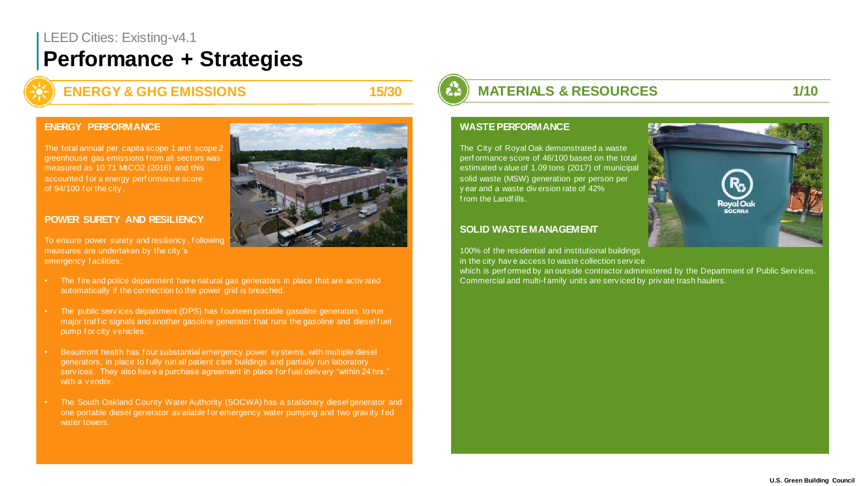**ENERGY & GHG EMISSIONS** 15/30 **MATERIALS & RESOURCES** 1/10

#### **ENERGY PERFORMANCE**

The total annual per capita scope 1 and scope 2 greenhouse gas emissions f rom all sectors was measured as 10.71 MtCO2 (2016) and this accounted f or a energy perf ormance score of 94/100 f or the city.

### **POWER SURETY AND RESILIENCY**

To ensure power surety and resiliency , f ollowing measures are undertaken by the city 's emergency f acilities:

- The f ire and police department hav e natural gas generators in place that are activ ated automatically if the connection to the power grid is breached.
- The public serv ices department (DPS) has f ourteen portable gasoline generators to run major traffic signals and another gasoline generator that runs the gasoline and diesel fuel pump f or city v ehicles.
- Beaumont health has f our substantial emergency power sy stems, with multiple diesel generators, in place to f ully run all patient care buildings and partially run laboratory services. They also have a purchase agreement in place for fuel delivery "within 24 hrs." with a v endor.
- The South Oakland County Water Authority (SOCWA) has a stationary diesel generator and one portable diesel generator av ailable f or emergency water pumping and two grav ity f ed water towers.

#### **WASTE PERFORMANCE**

The City of Royal Oak demonstrated a waste perf ormance score of 46/100 based on the total estimated v alue of 1.09 tons (2017) of municipal solid waste (MSW) generation per person per y ear and a waste div ersion rate of 42% f rom the Landf ills.

### **SOLID WASTE MANAGEMENT**

100% of the residential and institutional buildings in the city hav e access to waste collection serv ice

which is perf ormed by an outside contractor administered by the Department of Public Serv ices. Commercial and multi-f amily units are serv iced by priv ate trash haulers.